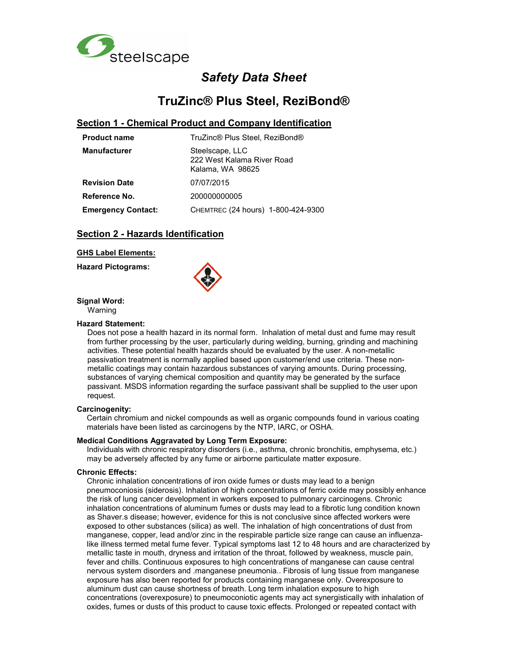

# *Safety Data Sheet*

# **TruZinc® Plus Steel, ReziBond®**

### **Section 1 - Chemical Product and Company Identification**

| <b>Product name</b>       | TruZinc® Plus Steel, ReziBond®                                    |  |
|---------------------------|-------------------------------------------------------------------|--|
| <b>Manufacturer</b>       | Steelscape, LLC<br>222 West Kalama River Road<br>Kalama, WA 98625 |  |
| <b>Revision Date</b>      | 07/07/2015                                                        |  |
| Reference No.             | 200000000005                                                      |  |
| <b>Emergency Contact:</b> | CHEMTREC (24 hours) 1-800-424-9300                                |  |

### **Section 2 - Hazards Identification**

#### **GHS Label Elements:**

**Hazard Pictograms:** 



**Signal Word:** 

Warning

#### **Hazard Statement:**

Does not pose a health hazard in its normal form. Inhalation of metal dust and fume may result from further processing by the user, particularly during welding, burning, grinding and machining activities. These potential health hazards should be evaluated by the user. A non-metallic passivation treatment is normally applied based upon customer/end use criteria. These nonmetallic coatings may contain hazardous substances of varying amounts. During processing, substances of varying chemical composition and quantity may be generated by the surface passivant. MSDS information regarding the surface passivant shall be supplied to the user upon request.

#### **Carcinogenity:**

Certain chromium and nickel compounds as well as organic compounds found in various coating materials have been listed as carcinogens by the NTP, IARC, or OSHA.

#### **Medical Conditions Aggravated by Long Term Exposure:**

Individuals with chronic respiratory disorders (i.e., asthma, chronic bronchitis, emphysema, etc.) may be adversely affected by any fume or airborne particulate matter exposure.

#### **Chronic Effects:**

Chronic inhalation concentrations of iron oxide fumes or dusts may lead to a benign pneumoconiosis (siderosis). Inhalation of high concentrations of ferric oxide may possibly enhance the risk of lung cancer development in workers exposed to pulmonary carcinogens. Chronic inhalation concentrations of aluminum fumes or dusts may lead to a fibrotic lung condition known as Shaver.s disease; however, evidence for this is not conclusive since affected workers were exposed to other substances (silica) as well. The inhalation of high concentrations of dust from manganese, copper, lead and/or zinc in the respirable particle size range can cause an influenzalike illness termed metal fume fever. Typical symptoms last 12 to 48 hours and are characterized by metallic taste in mouth, dryness and irritation of the throat, followed by weakness, muscle pain, fever and chills. Continuous exposures to high concentrations of manganese can cause central nervous system disorders and .manganese pneumonia.. Fibrosis of lung tissue from manganese exposure has also been reported for products containing manganese only. Overexposure to aluminum dust can cause shortness of breath. Long term inhalation exposure to high concentrations (overexposure) to pneumoconiotic agents may act synergistically with inhalation of oxides, fumes or dusts of this product to cause toxic effects. Prolonged or repeated contact with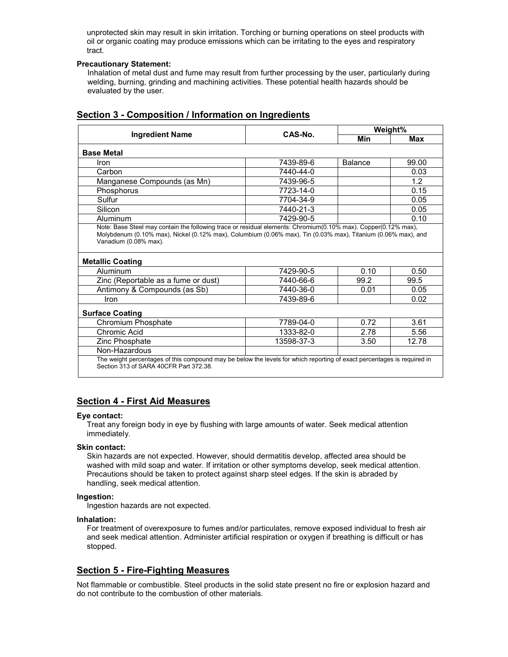unprotected skin may result in skin irritation. Torching or burning operations on steel products with oil or organic coating may produce emissions which can be irritating to the eyes and respiratory tract.

### **Precautionary Statement:**

Inhalation of metal dust and fume may result from further processing by the user, particularly during welding, burning, grinding and machining activities. These potential health hazards should be evaluated by the user.

|                                                                                                                                                                                                                                                                      | CAS-No.<br>Min |         | Weight% |  |
|----------------------------------------------------------------------------------------------------------------------------------------------------------------------------------------------------------------------------------------------------------------------|----------------|---------|---------|--|
| <b>Ingredient Name</b>                                                                                                                                                                                                                                               |                | Max     |         |  |
| <b>Base Metal</b>                                                                                                                                                                                                                                                    |                |         |         |  |
| Iron                                                                                                                                                                                                                                                                 | 7439-89-6      | Balance | 99.00   |  |
| Carbon                                                                                                                                                                                                                                                               | 7440-44-0      |         | 0.03    |  |
| Manganese Compounds (as Mn)                                                                                                                                                                                                                                          | 7439-96-5      |         | 1.2     |  |
| Phosphorus                                                                                                                                                                                                                                                           | 7723-14-0      |         | 0.15    |  |
| Sulfur                                                                                                                                                                                                                                                               | 7704-34-9      |         | 0.05    |  |
| Silicon                                                                                                                                                                                                                                                              | 7440-21-3      |         | 0.05    |  |
|                                                                                                                                                                                                                                                                      | 7429-90-5      |         | 0.10    |  |
| Aluminum<br>Note: Base Steel may contain the following trace or residual elements: Chromium(0.10% max). Copper(0.12% max),<br>Molybdenum (0.10% max), Nickel (0.12% max), Columbium (0.06% max), Tin (0.03% max), Titanium (0.06% max), and<br>Vanadium (0.08% max). |                |         |         |  |
|                                                                                                                                                                                                                                                                      |                |         |         |  |
| Aluminum                                                                                                                                                                                                                                                             | 7429-90-5      | 0.10    | 0.50    |  |
| Zinc (Reportable as a fume or dust)                                                                                                                                                                                                                                  | 7440-66-6      | 99.2    | 99.5    |  |
| Antimony & Compounds (as Sb)                                                                                                                                                                                                                                         | 7440-36-0      | 0.01    | 0.05    |  |
| Iron                                                                                                                                                                                                                                                                 | 7439-89-6      |         | 0.02    |  |
| <b>Metallic Coating</b><br><b>Surface Coating</b><br>Chromium Phosphate                                                                                                                                                                                              | 7789-04-0      | 0.72    | 3.61    |  |
| Chromic Acid                                                                                                                                                                                                                                                         | 1333-82-0      | 2.78    | 5.56    |  |
| Zinc Phosphate                                                                                                                                                                                                                                                       | 13598-37-3     | 3.50    | 12.78   |  |

### **Section 3 - Composition / Information on Ingredients**

### **Section 4 - First Aid Measures**

#### **Eye contact:**

Treat any foreign body in eye by flushing with large amounts of water. Seek medical attention immediately.

#### **Skin contact:**

Skin hazards are not expected. However, should dermatitis develop, affected area should be washed with mild soap and water. If irritation or other symptoms develop, seek medical attention. Precautions should be taken to protect against sharp steel edges. If the skin is abraded by handling, seek medical attention.

#### **Ingestion:**

Ingestion hazards are not expected.

#### **Inhalation:**

For treatment of overexposure to fumes and/or particulates, remove exposed individual to fresh air and seek medical attention. Administer artificial respiration or oxygen if breathing is difficult or has stopped.

### **Section 5 - Fire-Fighting Measures**

Not flammable or combustible. Steel products in the solid state present no fire or explosion hazard and do not contribute to the combustion of other materials.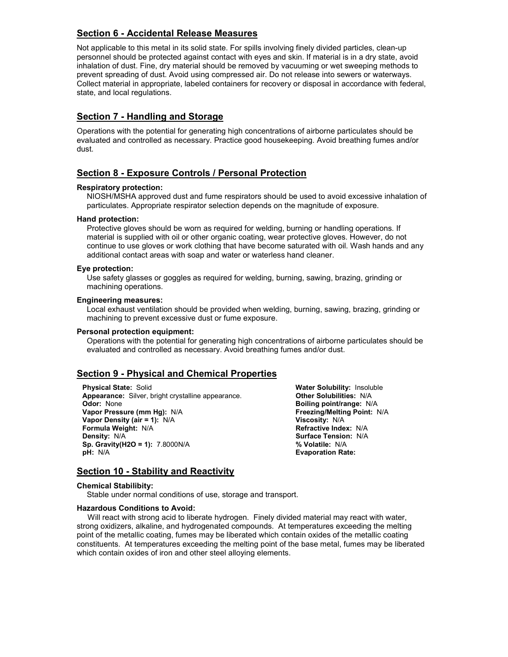# **Section 6 - Accidental Release Measures**

Not applicable to this metal in its solid state. For spills involving finely divided particles, clean-up personnel should be protected against contact with eyes and skin. If material is in a dry state, avoid inhalation of dust. Fine, dry material should be removed by vacuuming or wet sweeping methods to prevent spreading of dust. Avoid using compressed air. Do not release into sewers or waterways. Collect material in appropriate, labeled containers for recovery or disposal in accordance with federal, state, and local regulations.

# **Section 7 - Handling and Storage**

Operations with the potential for generating high concentrations of airborne particulates should be evaluated and controlled as necessary. Practice good housekeeping. Avoid breathing fumes and/or dust.

# **Section 8 - Exposure Controls / Personal Protection**

### **Respiratory protection:**

NIOSH/MSHA approved dust and fume respirators should be used to avoid excessive inhalation of particulates. Appropriate respirator selection depends on the magnitude of exposure.

### **Hand protection:**

Protective gloves should be worn as required for welding, burning or handling operations. If material is supplied with oil or other organic coating, wear protective gloves. However, do not continue to use gloves or work clothing that have become saturated with oil. Wash hands and any additional contact areas with soap and water or waterless hand cleaner.

### **Eye protection:**

Use safety glasses or goggles as required for welding, burning, sawing, brazing, grinding or machining operations.

#### **Engineering measures:**

Local exhaust ventilation should be provided when welding, burning, sawing, brazing, grinding or machining to prevent excessive dust or fume exposure.

### **Personal protection equipment:**

Operations with the potential for generating high concentrations of airborne particulates should be evaluated and controlled as necessary. Avoid breathing fumes and/or dust.

# **Section 9 - Physical and Chemical Properties**

**Physical State:** Solid **Water Solubility:** Insoluble **Appearance:** Silver, bright crystalline appearance. **Other Solubilities:** N/A **Odor:** None **Boiling point/range:** N/A **Vapor Pressure (mm Hg):** N/A **Freezing/Melting Point:** N/A **Vapor Density (air = 1):** N/A **Viscosity:** N/A **Formula Weight: N/A Density:** N/A **Surface Tension:** N/A **Sp. Gravity(H2O = 1):** 7.8000N/A **% Volatile:** N/A **pH:** N/A **Evaporation Rate:** 

# **Section 10 - Stability and Reactivity**

#### **Chemical Stabilibity:**

Stable under normal conditions of use, storage and transport.

### **Hazardous Conditions to Avoid:**

 Will react with strong acid to liberate hydrogen. Finely divided material may react with water, strong oxidizers, alkaline, and hydrogenated compounds. At temperatures exceeding the melting point of the metallic coating, fumes may be liberated which contain oxides of the metallic coating constituents. At temperatures exceeding the melting point of the base metal, fumes may be liberated which contain oxides of iron and other steel alloying elements.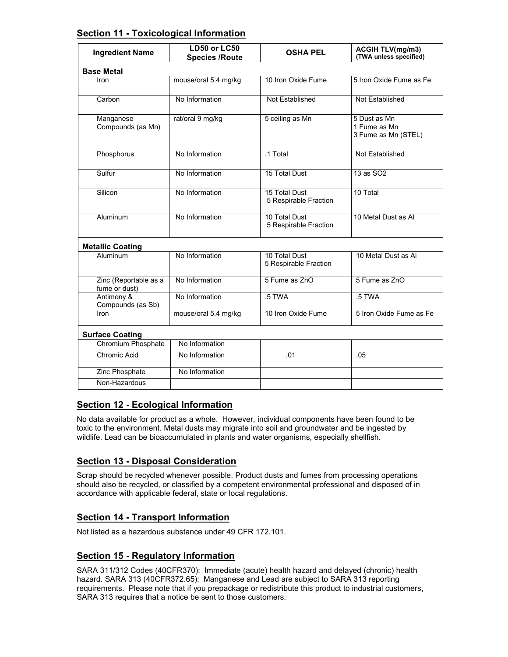| <b>Section 11 - Toxicological Information</b> |
|-----------------------------------------------|
|-----------------------------------------------|

| <b>Ingredient Name</b>                 | LD50 or LC50<br><b>Species /Route</b> | <b>OSHA PEL</b>                        | <b>ACGIH TLV(mg/m3)</b><br>(TWA unless specified)   |  |  |  |
|----------------------------------------|---------------------------------------|----------------------------------------|-----------------------------------------------------|--|--|--|
| <b>Base Metal</b>                      |                                       |                                        |                                                     |  |  |  |
| <b>Iron</b>                            | mouse/oral 5.4 mg/kg                  | 10 Iron Oxide Fume                     | 5 Iron Oxide Fume as Fe                             |  |  |  |
| Carbon                                 | No Information                        | Not Established                        | Not Established                                     |  |  |  |
| Manganese<br>Compounds (as Mn)         | rat/oral 9 mg/kg                      | 5 ceiling as Mn                        | 5 Dust as Mn<br>1 Fume as Mn<br>3 Fume as Mn (STEL) |  |  |  |
| Phosphorus                             | No Information                        | .1 Total                               | Not Established                                     |  |  |  |
| Sulfur                                 | No Information                        | 15 Total Dust                          | 13 as SO <sub>2</sub>                               |  |  |  |
| Silicon                                | No Information                        | 15 Total Dust<br>5 Respirable Fraction | 10 Total                                            |  |  |  |
| Aluminum                               | No Information                        | 10 Total Dust<br>5 Respirable Fraction | 10 Metal Dust as Al                                 |  |  |  |
| <b>Metallic Coating</b>                |                                       |                                        |                                                     |  |  |  |
| Aluminum                               | No Information                        | 10 Total Dust<br>5 Respirable Fraction | 10 Metal Dust as Al                                 |  |  |  |
| Zinc (Reportable as a<br>fume or dust) | No Information                        | 5 Fume as ZnO                          | 5 Fume as ZnO                                       |  |  |  |
| Antimony &<br>Compounds (as Sb)        | No Information                        | $.5$ TWA                               | 5 TWA                                               |  |  |  |
| Iron                                   | mouse/oral 5.4 mg/kg                  | 10 Iron Oxide Fume                     | 5 Iron Oxide Fume as Fe                             |  |  |  |
| <b>Surface Coating</b>                 |                                       |                                        |                                                     |  |  |  |
| Chromium Phosphate                     | No Information                        |                                        |                                                     |  |  |  |
| Chromic Acid                           | No Information                        | .01                                    | .05                                                 |  |  |  |
| Zinc Phosphate                         | No Information                        |                                        |                                                     |  |  |  |
| Non-Hazardous                          |                                       |                                        |                                                     |  |  |  |

# **Section 12 - Ecological Information**

No data available for product as a whole. However, individual components have been found to be toxic to the environment. Metal dusts may migrate into soil and groundwater and be ingested by wildlife. Lead can be bioaccumulated in plants and water organisms, especially shellfish.

# **Section 13 - Disposal Consideration**

Scrap should be recycled whenever possible. Product dusts and fumes from processing operations should also be recycled, or classified by a competent environmental professional and disposed of in accordance with applicable federal, state or local regulations.

# **Section 14 - Transport Information**

Not listed as a hazardous substance under 49 CFR 172.101.

# **Section 15 - Regulatory Information**

SARA 311/312 Codes (40CFR370): Immediate (acute) health hazard and delayed (chronic) health hazard. SARA 313 (40CFR372.65): Manganese and Lead are subject to SARA 313 reporting requirements. Please note that if you prepackage or redistribute this product to industrial customers, SARA 313 requires that a notice be sent to those customers.